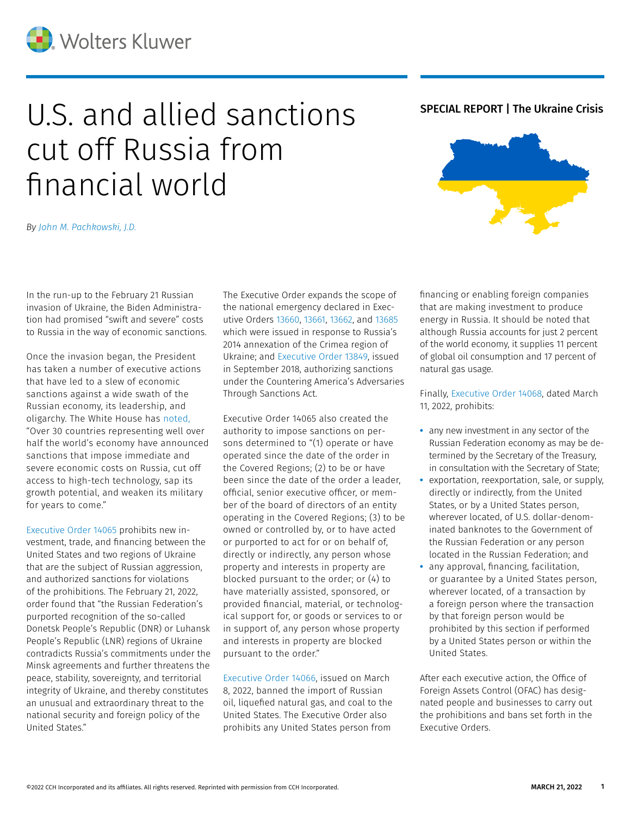

# U.S. and allied sanctions SPECIAL REPORT | The Ukraine Crisis cut off Russia from financial world

*By [John M. Pachkowski, J.D.](https://www.linkedin.com/in/john-m-pachkowski-673124b/)*

In the run-up to the February 21 Russian invasion of Ukraine, the Biden Administration had promised "swift and severe" costs to Russia in the way of economic sanctions.

Once the invasion began, the President has taken a number of executive actions that have led to a slew of economic sanctions against a wide swath of the Russian economy, its leadership, and oligarchy. The White House has [noted,](https://www.whitehouse.gov/briefing-room/statements-releases/2022/03/08/fact-sheet-united-states-bans-imports-of-russian-oil-liquefied-natural-gas-and-coal/) "Over 30 countries representing well over half the world's economy have announced sanctions that impose immediate and severe economic costs on Russia, cut off access to high-tech technology, sap its growth potential, and weaken its military for years to come."

[Executive Order 14065](https://www.govinfo.gov/content/pkg/FR-2022-02-23/pdf/2022-04020.pdf) prohibits new investment, trade, and financing between the United States and two regions of Ukraine that are the subject of Russian aggression, and authorized sanctions for violations of the prohibitions. The February 21, 2022, order found that "the Russian Federation's purported recognition of the so-called Donetsk People's Republic (DNR) or Luhansk People's Republic (LNR) regions of Ukraine contradicts Russia's commitments under the Minsk agreements and further threatens the peace, stability, sovereignty, and territorial integrity of Ukraine, and thereby constitutes an unusual and extraordinary threat to the national security and foreign policy of the United States."

The Executive Order expands the scope of the national emergency declared in Executive Orders [13660,](https://home.treasury.gov/system/files/126/ukraine_eo.pdf) [13661,](https://home.treasury.gov/system/files/126/ukraine_eo2.pdf) [13662](https://home.treasury.gov/system/files/126/ukraine_eo3.pdf), and [13685](https://home.treasury.gov/system/files/126/ukraine_eo4.pdf) which were issued in response to Russia's 2014 annexation of the Crimea region of Ukraine; and [Executive Order 13849,](https://www.govinfo.gov/content/pkg/FR-2018-09-21/pdf/2018-20816.pdf) issued in September 2018, authorizing sanctions under the Countering America's Adversaries Through Sanctions Act.

Executive Order 14065 also created the authority to impose sanctions on persons determined to "(1) operate or have operated since the date of the order in the Covered Regions; (2) to be or have been since the date of the order a leader, official, senior executive officer, or member of the board of directors of an entity operating in the Covered Regions; (3) to be owned or controlled by, or to have acted or purported to act for or on behalf of, directly or indirectly, any person whose property and interests in property are blocked pursuant to the order; or (4) to have materially assisted, sponsored, or provided financial, material, or technological support for, or goods or services to or in support of, any person whose property and interests in property are blocked pursuant to the order."

[Executive Order 14066](https://www.govinfo.gov/content/pkg/FR-2022-03-10/pdf/2022-05232.pdf), issued on March 8, 2022, banned the import of Russian oil, liquefied natural gas, and coal to the United States. The Executive Order also prohibits any United States person from



financing or enabling foreign companies that are making investment to produce energy in Russia. It should be noted that although Russia accounts for just 2 percent of the world economy, it supplies 11 percent of global oil consumption and 17 percent of natural gas usage.

Finally, [Executive Order 14068](https://www.govinfo.gov/content/pkg/FR-2022-03-15/pdf/2022-05554.pdf), dated March 11, 2022, prohibits:

- **•** any new investment in any sector of the Russian Federation economy as may be determined by the Secretary of the Treasury, in consultation with the Secretary of State;
- **•** exportation, reexportation, sale, or supply, directly or indirectly, from the United States, or by a United States person, wherever located, of U.S. dollar-denominated banknotes to the Government of the Russian Federation or any person located in the Russian Federation; and
- **•** any approval, financing, facilitation, or guarantee by a United States person, wherever located, of a transaction by a foreign person where the transaction by that foreign person would be prohibited by this section if performed by a United States person or within the United States.

After each executive action, the Office of Foreign Assets Control (OFAC) has designated people and businesses to carry out the prohibitions and bans set forth in the Executive Orders.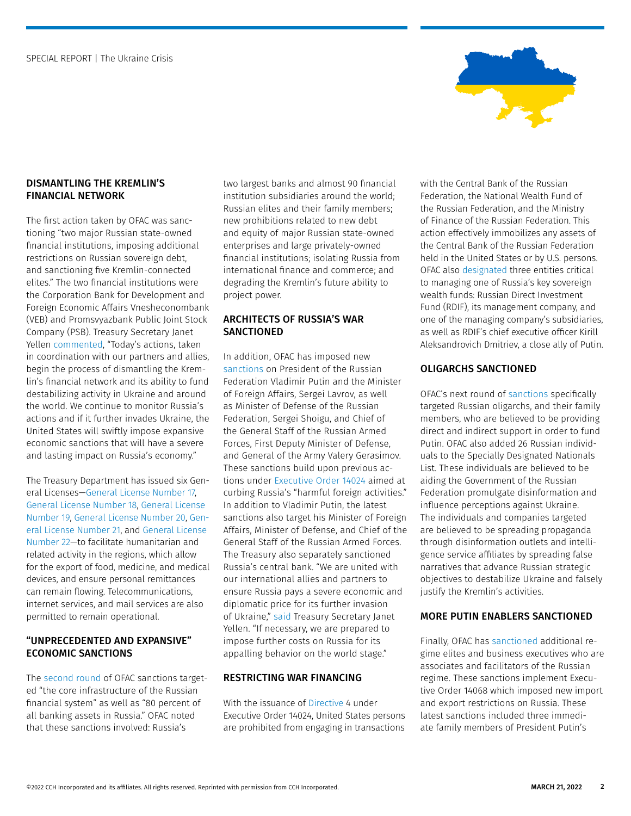

# DISMANTLING THE KREMLIN'S FINANCIAL NETWORK

The first action taken by OFAC was sanctioning "two major Russian state-owned financial institutions, imposing additional restrictions on Russian sovereign debt, and sanctioning five Kremlin-connected elites." The two financial institutions were the Corporation Bank for Development and Foreign Economic Affairs Vnesheconombank (VEB) and Promsvyazbank Public Joint Stock Company (PSB). Treasury Secretary Janet Yellen [commented,](https://home.treasury.gov/news/press-releases/jy0602) "Today's actions, taken in coordination with our partners and allies, begin the process of dismantling the Kremlin's financial network and its ability to fund destabilizing activity in Ukraine and around the world. We continue to monitor Russia's actions and if it further invades Ukraine, the United States will swiftly impose expansive economic sanctions that will have a severe and lasting impact on Russia's economy."

The Treasury Department has issued six General Licenses[—General License Number 17,](https://home.treasury.gov/system/files/126/ukraine_gl17.pdf) [General License Number 18,](https://home.treasury.gov/system/files/126/ukraine_gl18.pdf) [General License](https://home.treasury.gov/system/files/126/ukraine_gl19.pdf)  [Number 19,](https://home.treasury.gov/system/files/126/ukraine_gl19.pdf) [General License Number 20,](https://home.treasury.gov/system/files/126/ukraine_gl20.pdf) [Gen](https://home.treasury.gov/system/files/126/ukraine_gl21.pdf)[eral License Number 21,](https://home.treasury.gov/system/files/126/ukraine_gl21.pdf) and [General License](https://home.treasury.gov/system/files/126/ukraine_gl22.pdf)  [Number 22](https://home.treasury.gov/system/files/126/ukraine_gl22.pdf)—to facilitate humanitarian and related activity in the regions, which allow for the export of food, medicine, and medical devices, and ensure personal remittances can remain flowing. Telecommunications, internet services, and mail services are also permitted to remain operational.

# "UNPRECEDENTED AND EXPANSIVE" ECONOMIC SANCTIONS

The [second round](https://home.treasury.gov/policy-issues/financial-sanctions/recent-actions/20220224) of OFAC sanctions targeted "the core infrastructure of the Russian financial system" as well as "80 percent of all banking assets in Russia." OFAC noted that these sanctions involved: Russia's

two largest banks and almost 90 financial institution subsidiaries around the world; Russian elites and their family members; new prohibitions related to new debt and equity of major Russian state-owned enterprises and large privately-owned financial institutions; isolating Russia from international finance and commerce; and degrading the Kremlin's future ability to project power.

# ARCHITECTS OF RUSSIA'S WAR SANCTIONED

In addition, OFAC has imposed new [sanctions](https://home.treasury.gov/policy-issues/financial-sanctions/recent-actions/20220225_33) on President of the Russian Federation Vladimir Putin and the Minister of Foreign Affairs, Sergei Lavrov, as well as Minister of Defense of the Russian Federation, Sergei Shoigu, and Chief of the General Staff of the Russian Armed Forces, First Deputy Minister of Defense, and General of the Army Valery Gerasimov. These sanctions build upon previous actions under [Executive Order 14024](https://www.govinfo.gov/content/pkg/FR-2021-04-19/pdf/2021-08098.pdf) aimed at curbing Russia's "harmful foreign activities." In addition to Vladimir Putin, the latest sanctions also target his Minister of Foreign Affairs, Minister of Defense, and Chief of the General Staff of the Russian Armed Forces. The Treasury also separately sanctioned Russia's central bank. "We are united with our international allies and partners to ensure Russia pays a severe economic and diplomatic price for its further invasion of Ukraine," [said](https://home.treasury.gov/news/press-releases/jy0610) Treasury Secretary Janet Yellen. "If necessary, we are prepared to impose further costs on Russia for its appalling behavior on the world stage."

### RESTRICTING WAR FINANCING

With the issuance of [Directive](https://home.treasury.gov/system/files/126/eo14024_directive_4_02282022.pdf) 4 under Executive Order 14024, United States persons are prohibited from engaging in transactions with the Central Bank of the Russian Federation, the National Wealth Fund of the Russian Federation, and the Ministry of Finance of the Russian Federation. This action effectively immobilizes any assets of the Central Bank of the Russian Federation held in the United States or by U.S. persons. OFAC also [designated](https://www.govinfo.gov/content/pkg/FR-2022-03-03/pdf/2022-04462.pdf) three entities critical to managing one of Russia's key sovereign wealth funds: Russian Direct Investment Fund (RDIF), its management company, and one of the managing company's subsidiaries, as well as RDIF's chief executive officer Kirill Aleksandrovich Dmitriev, a close ally of Putin.

# OLIGARCHS SANCTIONED

OFAC's next round of [sanctions](https://home.treasury.gov/policy-issues/financial-sanctions/recent-actions/20220303) specifically targeted Russian oligarchs, and their family members, who are believed to be providing direct and indirect support in order to fund Putin. OFAC also added 26 Russian individuals to the Specially Designated Nationals List. These individuals are believed to be aiding the Government of the Russian Federation promulgate disinformation and influence perceptions against Ukraine. The individuals and companies targeted are believed to be spreading propaganda through disinformation outlets and intelligence service affiliates by spreading false narratives that advance Russian strategic objectives to destabilize Ukraine and falsely justify the Kremlin's activities.

### MORE PUTIN ENABLERS SANCTIONED

Finally, OFAC has [sanctioned](https://home.treasury.gov/policy-issues/financial-sanctions/recent-actions/20220311) additional regime elites and business executives who are associates and facilitators of the Russian regime. These sanctions implement Executive Order 14068 which imposed new import and export restrictions on Russia. These latest sanctions included three immediate family members of President Putin's